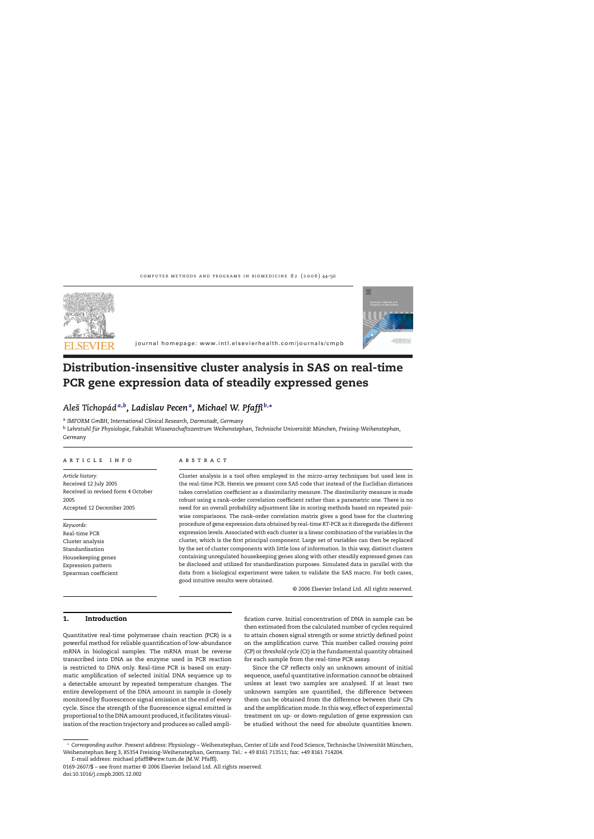



journal homepage: www.intl.elsevierhealth.com/journals/cmpb

# **Distribution-insensitive cluster analysis in SAS on real-time PCR gene expression data of steadily expressed genes**

*Ales Tichop ˇ ad´ <sup>a</sup>***,***b, Ladislav Pecena, Michael W. Pfafflb***,<sup>∗</sup>**

<sup>a</sup> *IMFORM GmBH, International Clinical Research, Darmstadt, Germany* <sup>b</sup> *Lehrstuhl fur Physiologie, Fakult ¨ at Wissenschaftszentrum Weihenstephan, Technische Universit ¨ at M¨ unchen, Freising-Weihenstephan, ¨ Germany*

### article info

*Article history:* Received 12 July 2005 Received in revised form 4 October 2005 Accepted 12 December 2005

*Keywords:* Real-time PCR Cluster analysis Standardisation Housekeeping genes Expression pattern Spearman coefficient

## **ABSTRACT**

Cluster analysis is a tool often employed in the micro-array techniques but used less in the real-time PCR. Herein we present core SAS code that instead of the Euclidian distances takes correlation coefficient as a dissimilarity measure. The dissimilarity measure is made robust using a rank–order correlation coefficient rather than a parametric one. There is no need for an overall probability adjustment like in scoring methods based on repeated pairwise comparisons. The rank–order correlation matrix gives a good base for the clustering procedure of gene expression data obtained by real-time RT-PCR as it disregards the different expression levels. Associated with each cluster is a linear combination of the variables in the cluster, which is the first principal component. Large set of variables can then be replaced by the set of cluster components with little loss of information. In this way, distinct clusters containing unregulated housekeeping genes along with other steadily expressed genes can be disclosed and utilized for standardization purposes. Simulated data in parallel with the data from a biological experiment were taken to validate the SAS macro. For both cases, good intuitive results were obtained.

© 2006 Elsevier Ireland Ltd. All rights reserved.

# **1. Introduction**

Quantitative real-time polymerase chain reaction (PCR) is a powerful method for reliable quantification of low-abundance mRNA in biological samples. The mRNA must be reverse transcribed into DNA as the enzyme used in PCR reaction is restricted to DNA only. Real-time PCR is based on enzymatic amplification of selected initial DNA sequence up to a detectable amount by repeated temperature changes. The entire development of the DNA amount in sample is closely monitored by fluorescence signal emission at the end of every cycle. Since the strength of the fluorescence signal emitted is proportional to the DNA amount produced, it facilitates visualisation of the reaction trajectory and produces so called amplification curve. Initial concentration of DNA in sample can be then estimated from the calculated number of cycles required to attain chosen signal strength or some strictly defined point on the amplification curve. This number called *crossing point* (CP) or *threshold cycle* (Ct) is the fundamental quantity obtained for each sample from the real-time PCR assay.

Since the CP reflects only an unknown amount of initial sequence, useful quantitative information cannot be obtained unless at least two samples are analysed. If at least two unknown samples are quantified, the difference between them can be obtained from the difference between their CPs and the amplification mode. In this way, effect of experimental treatment on up- or down-regulation of gene expression can be studied without the need for absolute quantities known.

E-mail address: michael.pfaffl@wzw.tum.de (M.W. Pfaffl).

<sup>\*</sup> Corresponding author. Present address: Physiology – Weihenstephan, Center of Life and Food Science, Technische Universität München, Weihenstephan Berg 3, 85354 Freising-Weihenstephan, Germany. Tel.: + 49 8161 713511; fax: +49 8161 714204.

<sup>0169-2607/\$ –</sup> see front matter © 2006 Elsevier Ireland Ltd. All rights reserved. doi:10.1016/j.cmpb.2005.12.002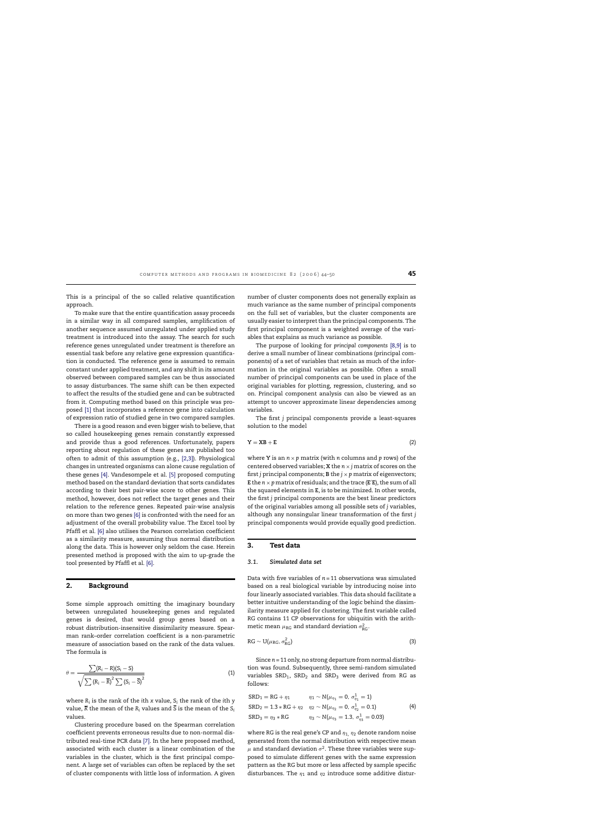This is a principal of the so called relative quantification approach.

To make sure that the entire quantification assay proceeds in a similar way in all compared samples, amplification of another sequence assumed unregulated under applied study treatment is introduced into the assay. The search for such reference genes unregulated under treatment is therefore an essential task before any relative gene expression quantification is conducted. The reference gene is assumed to remain constant under applied treatment, and any shift in its amount observed between compared samples can be thus associated to assay disturbances. The same shift can be then expected to affect the results of the studied gene and can be subtracted from it. Computing method based on this principle was proposed [\[1\]](#page-5-0) that incorporates a reference gene into calculation of expression ratio of studied gene in two compared samples.

There is a good reason and even bigger wish to believe, that so called housekeeping genes remain constantly expressed and provide thus a good references. Unfortunately, papers reporting about regulation of these genes are published too often to admit of this assumption (e.g., [\[2,3\]\).](#page-5-0) Physiological changes in untreated organisms can alone cause regulation of these genes [\[4\]. V](#page-5-0)andesompele et al. [\[5\]](#page-5-0) proposed computing method based on the standard deviation that sorts candidates according to their best pair-wise score to other genes. This method, however, does not reflect the target genes and their relation to the reference genes. Repeated pair-wise analysis on more than two genes [\[6\]](#page-5-0) is confronted with the need for an adjustment of the overall probability value. The Excel tool by Pfaffl et al. [\[6\]](#page-5-0) also utilises the Pearson correlation coefficient as a similarity measure, assuming thus normal distribution along the data. This is however only seldom the case. Herein presented method is proposed with the aim to up-grade the tool presented by Pfaffl et al. [\[6\].](#page-5-0)

## **2. Background**

Some simple approach omitting the imaginary boundary between unregulated housekeeping genes and regulated genes is desired, that would group genes based on a robust distribution-insensitive dissimilarity measure. Spearman rank–order correlation coefficient is a non-parametric measure of association based on the rank of the data values. The formula is

$$
\theta = \frac{\sum (R_i - R)(S_i - S)}{\sqrt{\sum (R_i - \bar{R})^2 \sum (S_i - \bar{S})^2}}
$$
(1)

where *Ri* is the rank of the *i*th *x* value, *Si* the rank of the *i*th *y* value,  $\overline{R}$  the mean of the  $R_i$  values and  $\overline{S}$  is the mean of the  $S_i$ values.

Clustering procedure based on the Spearman correlation coefficient prevents erroneous results due to non-normal distributed real-time PCR data [\[7\]. I](#page-5-0)n the here proposed method, associated with each cluster is a linear combination of the variables in the cluster, which is the first principal component. A large set of variables can often be replaced by the set of cluster components with little loss of information. A given

number of cluster components does not generally explain as much variance as the same number of principal components on the full set of variables, but the cluster components are usually easier to interpret than the principal components. The first principal component is a weighted average of the variables that explains as much variance as possible.

The purpose of looking for *principal components* [\[8,9\]](#page-5-0) is to derive a small number of linear combinations (principal components) of a set of variables that retain as much of the information in the original variables as possible. Often a small number of principal components can be used in place of the original variables for plotting, regression, clustering, and so on. Principal component analysis can also be viewed as an attempt to uncover approximate linear dependencies among variables.

The first *j* principal components provide a least-squares solution to the model

$$
Y = XB + E \tag{2}
$$

where **Y** is an  $n \times p$  matrix (with *n* columns and *p* rows) of the centered observed variables; **X** the *n* × *j* matrix of scores on the first *j* principal components; **B** the  $j \times p$  matrix of eigenvectors;  $\mathbf{E}$  the  $n \times p$  matrix of residuals; and the trace ( $\mathbf{E}'\mathbf{E}$ ), the sum of all the squared elements in **E**, is to be minimized. In other words, the first *j* principal components are the best linear predictors of the original variables among all possible sets of *j* variables, although any nonsingular linear transformation of the first *j* principal components would provide equally good prediction.

# **3. Test data**

## *3.1. Simulated data set*

Data with five variables of *n* = 11 observations was simulated based on a real biological variable by introducing noise into four linearly associated variables. This data should facilitate a better intuitive understanding of the logic behind the dissimilarity measure applied for clustering. The first variable called RG contains 11 CP observations for ubiquitin with the arithmetic mean  $\mu_{\rm RG}$  and standard deviation  $\sigma_{\rm RG}^2.$ 

$$
RG \sim U(\mu_{RG}, \sigma_{RG}^2)
$$
 (3)

Since *n* = 11 only, no strong departure from normal distribution was found. Subsequently, three semi-random simulated variables  $SRD_1$ ,  $SRD_2$  and  $SRD_3$  were derived from RG as follows:

$$
SRD_1 = RG + \eta_1 \qquad \eta_1 \sim N(\mu_{\eta_1} = 0, \sigma_{\eta_1}^1 = 1)
$$
  
\n
$$
SRD_2 = 1.3 * RG + \eta_2 \qquad \eta_2 \sim N(\mu_{\eta_2} = 0, \sigma_{\eta_2}^1 = 0.1)
$$
\n
$$
SRD_3 = \eta_3 * RG \qquad \eta_3 \sim N(\mu_{\eta_3} = 1.3, \sigma_{\eta_3}^1 = 0.03)
$$
\n(4)

where RG is the real gene's CP and  $\eta_1$ ,  $\eta_2$  denote random noise generated from the normal distribution with respective mean  $\mu$  and standard deviation  $\sigma^2.$  These three variables were supposed to simulate different genes with the same expression pattern as the RG but more or less affected by sample specific disturbances. The  $\eta_1$  and  $\eta_2$  introduce some additive distur-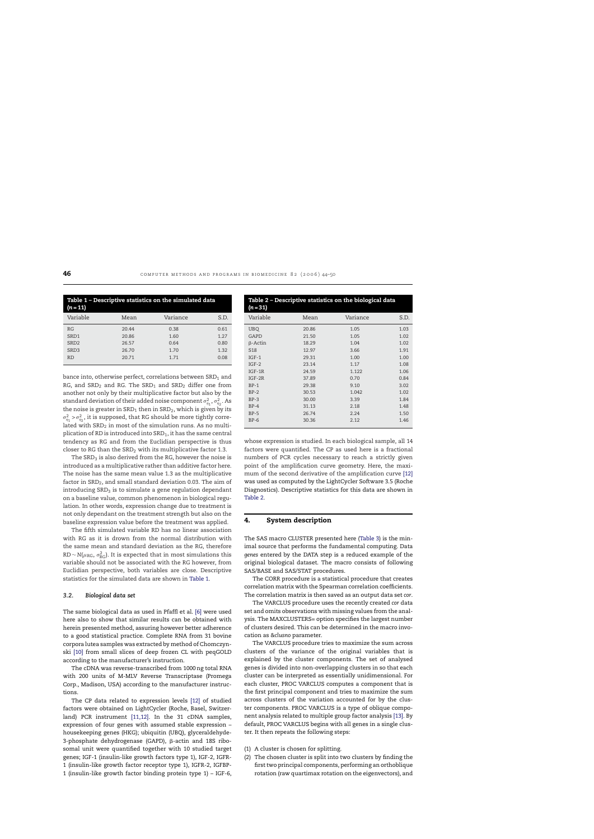| Table 1 - Descriptive statistics on the simulated data<br>$(n = 11)$ |       |          |      |  |
|----------------------------------------------------------------------|-------|----------|------|--|
| Variable                                                             | Mean  | Variance | S.D. |  |
| RG                                                                   | 20.44 | 0.38     | 0.61 |  |
| SRD1                                                                 | 20.86 | 1.60     | 1.27 |  |
| SRD <sub>2</sub>                                                     | 26.57 | 0.64     | 0.80 |  |
| SRD <sub>3</sub>                                                     | 26.70 | 1.70     | 1.32 |  |
| <b>RD</b>                                                            | 20.71 | 1.71     | 0.08 |  |

bance into, otherwise perfect, correlations between  $SRD<sub>1</sub>$  and RG, and SRD<sub>2</sub> and RG. The SRD<sub>1</sub> and SRD<sub>2</sub> differ one from another not only by their multiplicative factor but also by the standard deviation of their added noise component  $\sigma_{\eta_1}^2$  ,  $\sigma_{\eta_2}^2$  . As the noise is greater in  $SRD_1$  then in  $SRD_2$ , which is given by its  $\sigma_{\eta_1}^2$  >  $\sigma_{\eta_2}^2$ , it is supposed, that RG should be more tightly correlated with SRD<sub>2</sub> in most of the simulation runs. As no multiplication of RD is introduced into  $SRD_1$ , it has the same central tendency as RG and from the Euclidian perspective is thus closer to RG than the  $SRD<sub>2</sub>$  with its multiplicative factor 1.3.

The  $SRD<sub>3</sub>$  is also derived from the RG, however the noise is introduced as a multiplicative rather than additive factor here. The noise has the same mean value 1.3 as the multiplicative factor in  $SRD<sub>2</sub>$ , and small standard deviation 0.03. The aim of introducing  $SRD<sub>3</sub>$  is to simulate a gene regulation dependant on a baseline value, common phenomenon in biological regulation. In other words, expression change due to treatment is not only dependant on the treatment strength but also on the baseline expression value before the treatment was applied.

The fifth simulated variable RD has no linear association with RG as it is drown from the normal distribution with the same mean and standard deviation as the RG, therefore RD∼N(μ<sub>RG</sub>, σ<sub>RG</sub>). It is expected that in most simulations this variable should not be associated with the RG however, from Euclidian perspective, both variables are close. Descriptive statistics for the simulated data are shown in Table 1.

#### *3.2. Biological data set*

The same biological data as used in Pfaffl et al. [\[6\]](#page-5-0) were used here also to show that similar results can be obtained with herein presented method, assuring however better adherence to a good statistical practice. Complete RNA from 31 bovine corpora lutea samples was extracted by method of Chomczynski [\[10\]](#page-5-0) from small slices of deep frozen CL with peqGOLD according to the manufacturer's instruction.

The cDNA was reverse-transcribed from 1000 ng total RNA with 200 units of M-MLV Reverse Transcriptase (Promega Corp., Madison, USA) according to the manufacturer instructions.

The CP data related to expression levels [\[12\]](#page-5-0) of studied factors were obtained on LightCycler (Roche, Basel, Switzerland) PCR instrument [\[11,12\].](#page-5-0) In the 31 cDNA samples, expression of four genes with assumed stable expression – housekeeping genes (HKG); ubiquitin (UBQ), glyceraldehyde-3-phosphate dehydrogenase (GAPD),  $\beta$ -actin and 18S ribosomal unit were quantified together with 10 studied target genes; IGF-1 (insulin-like growth factors type 1), IGF-2, IGFR-1 (insulin-like growth factor receptor type 1), IGFR-2, IGFBP-1 (insulin-like growth factor binding protein type 1) – IGF-6,

| Table 2 - Descriptive statistics on the biological data<br>$(n=31)$ |       |          |      |  |
|---------------------------------------------------------------------|-------|----------|------|--|
| Variable                                                            | Mean  | Variance | S.D. |  |
| <b>UBQ</b>                                                          | 20.86 | 1.05     | 1.03 |  |
| <b>GAPD</b>                                                         | 21.50 | 1.05     | 1.02 |  |
| $\beta$ -Actin                                                      | 18.29 | 1.04     | 1.02 |  |
| S <sub>18</sub>                                                     | 12.97 | 3.66     | 1.91 |  |
| $IGF-1$                                                             | 29.31 | 1.00     | 1.00 |  |
| $IGF-2$                                                             | 23.14 | 1.17     | 1.08 |  |
| $IGF-1R$                                                            | 24.59 | 1.122    | 1.06 |  |
| $IGF-2R$                                                            | 37.89 | 0.70     | 0.84 |  |
| $BP-1$                                                              | 29.38 | 9.10     | 3.02 |  |
| $BP-2$                                                              | 30.53 | 1.042    | 1.02 |  |
| $BP-3$                                                              | 30.00 | 3.39     | 1.84 |  |
| $BP-4$                                                              | 31.13 | 2.18     | 1.48 |  |
| $BP-5$                                                              | 26.74 | 2.24     | 1.50 |  |
| $BP-6$                                                              | 30.36 | 2.12     | 1.46 |  |

whose expression is studied. In each biological sample, all 14 factors were quantified. The CP as used here is a fractional numbers of PCR cycles necessary to reach a strictly given point of the amplification curve geometry. Here, the maximum of the second derivative of the amplification curve [\[12\]](#page-5-0) was used as computed by the LightCycler Software 3.5 (Roche Diagnostics). Descriptive statistics for this data are shown in Table 2.

# **4. System description**

The SAS macro CLUSTER presented here [\(Table 3\) i](#page-3-0)s the minimal source that performs the fundamental computing. Data *genes* entered by the DATA step is a reduced example of the original biological dataset. The macro consists of following SAS/BASE and SAS/STAT procedures.

The CORR procedure is a statistical procedure that creates correlation matrix with the Spearman correlation coefficients. The correlation matrix is then saved as an output data set *cor*.

The VARCLUS procedure uses the recently created *cor* data set and omits observations with missing values from the analysis. The MAXCLUSTERS= option specifies the largest number of clusters desired. This can be determined in the macro invocation as *&clusno* parameter.

The VARCLUS procedure tries to maximize the sum across clusters of the variance of the original variables that is explained by the cluster components. The set of analysed genes is divided into non-overlapping clusters in so that each cluster can be interpreted as essentially unidimensional. For each cluster, PROC VARCLUS computes a component that is the first principal component and tries to maximize the sum across clusters of the variation accounted for by the cluster components. PROC VARCLUS is a type of oblique component analysis related to multiple group factor analysis [\[13\]. B](#page-6-0)y default, PROC VARCLUS begins with all genes in a single cluster. It then repeats the following steps:

- (1) A cluster is chosen for splitting.
- (2) The chosen cluster is split into two clusters by finding the first two principal components, performing an orthoblique rotation (raw quartimax rotation on the eigenvectors), and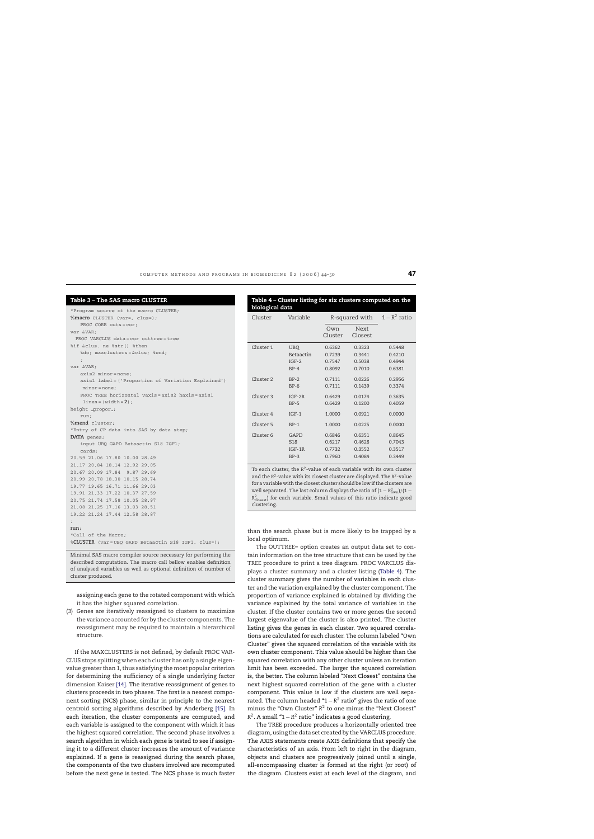## <span id="page-3-0"></span>**Table 3 – The SAS macro CLUSTER**

| *Program source of the macro CLUSTER;              |  |  |
|----------------------------------------------------|--|--|
| %macro CLUSTER (var=, clus=);                      |  |  |
| PROC CORR outs = $cor$ ;                           |  |  |
| var &VAR                                           |  |  |
| PROC VARCLUS data=cor outtree=tree                 |  |  |
| %if &clus, ne %str() %then                         |  |  |
| %do; maxclusters=&clus %end;                       |  |  |
| $\ddot{ }$                                         |  |  |
| var &VAR                                           |  |  |
| axis2 minor=none;                                  |  |  |
| axis1 label= ('Proportion of Variation Explained') |  |  |
| $minor = none;$                                    |  |  |
| PROC TREE horizontal vaxis = axis2 haxis = axis1   |  |  |
| $lines = (width = 2);$                             |  |  |
| height _propor_;                                   |  |  |
| run;                                               |  |  |
| %mend cluster:                                     |  |  |
| *Entry of CP data into SAS by data step;           |  |  |
| DATA genes;                                        |  |  |
| input UBQ GAPD Betaactin S18 IGF1;                 |  |  |
| cards;                                             |  |  |
| 20.59 21.06 17.80 10.00 28.49                      |  |  |
| 21.17 20.84 18.14 12.92 29.05                      |  |  |
| 20.67 20.09 17.84 9.87 29.69                       |  |  |
| 20.99 20.78 18.30 10.15 28.74                      |  |  |
| 19.77 19.65 16.71 11.66 29.03                      |  |  |
| 19.91 21.33 17.22 10.37 27.59                      |  |  |
| 20.75 21.74 17.58 10.05 28.97                      |  |  |
| 21.08 21.25 17.16 13.03 28.51                      |  |  |
| 19.22 21.24 17.44 12.58 28.87                      |  |  |
| $\ddot{i}$                                         |  |  |
| run;                                               |  |  |
| *Call of the Macro;                                |  |  |
| %CLUSTER (var=UBQ GAPD Betaactin S18 IGF1, clus=); |  |  |

Minimal SAS macro compiler source necessary for performing the described computation. The macro call bellow enables definition of analysed variables as well as optional definition of number of cluster produced.

assigning each gene to the rotated component with which it has the higher squared correlation.

(3) Genes are iteratively reassigned to clusters to maximize the variance accounted for by the cluster components. The reassignment may be required to maintain a hierarchical structure.

If the MAXCLUSTERS is not defined, by default PROC VAR-CLUS stops splitting when each cluster has only a single eigenvalue greater than 1, thus satisfying the most popular criterion for determining the sufficiency of a single underlying factor dimension Kaiser [\[14\]. T](#page-6-0)he iterative reassignment of genes to clusters proceeds in two phases. The first is a nearest component sorting (NCS) phase, similar in principle to the nearest centroid sorting algorithms described by Anderberg [\[15\].](#page-6-0) In each iteration, the cluster components are computed, and each variable is assigned to the component with which it has the highest squared correlation. The second phase involves a search algorithm in which each gene is tested to see if assigning it to a different cluster increases the amount of variance explained. If a gene is reassigned during the search phase, the components of the two clusters involved are recomputed before the next gene is tested. The NCS phase is much faster

| Table 4 - Cluster listing for six clusters computed on the |  |  |
|------------------------------------------------------------|--|--|
| biological data                                            |  |  |

| Cluster              | Variable        | R-squared with |                        | $1 - R^2$ ratio |
|----------------------|-----------------|----------------|------------------------|-----------------|
|                      |                 | Own<br>Cluster | <b>Next</b><br>Closest |                 |
| Cluster 1            | <b>UBQ</b>      | 0.6362         | 0.3323                 | 0.5448          |
|                      | Betaactin       | 0.7239         | 0.3441                 | 0.4210          |
|                      | $IGF-2$         | 0.7547         | 0.5038                 | 0.4944          |
|                      | $BP-4$          | 0.8092         | 0.7010                 | 0.6381          |
| Cluster 2            | $BP-2$          | 0.7111         | 0.0226                 | 0.2956          |
|                      | $BP-6$          | 0.7111         | 0.1439                 | 0.3374          |
| Cluster 3            | $IGF-2R$        | 0.6429         | 0.0174                 | 0.3635          |
|                      | $BP-5$          | 0.6429         | 0.1200                 | 0.4059          |
| Cluster 4            | $IGF-1$         | 1.0000         | 0.0921                 | 0.0000          |
| Cluster 5            | $BP-1$          | 1.0000         | 0.0225                 | 0.0000          |
| Cluster <sub>6</sub> | GAPD            | 0.6846         | 0.6351                 | 0.8645          |
|                      | S <sub>18</sub> | 0.6217         | 0.4628                 | 0.7043          |
|                      | $IGF-1R$        | 0.7732         | 0.3552                 | 0.3517          |
|                      | $BP-3$          | 0.7960         | 0.4084                 | 0.3449          |

To each cluster, the *R*2-value of each variable with its own cluster and the *R*2-value with its closest cluster are displayed. The *R*2-value for a variable with the closest cluster should be low if the clusters are well separated. The last column displays the ratio of  $(1-R_{\rm own}^2)/(1-R_{\rm own}^2)$  $R^2_{\rm closest}$ ) for each variable. Small values of this ratio indicate good clustering.

than the search phase but is more likely to be trapped by a local optimum.

The OUTTREE= option creates an output data set to contain information on the tree structure that can be used by the TREE procedure to print a tree diagram. PROC VARCLUS displays a cluster summary and a cluster listing (Table 4). The cluster summary gives the number of variables in each cluster and the variation explained by the cluster component. The proportion of variance explained is obtained by dividing the variance explained by the total variance of variables in the cluster. If the cluster contains two or more genes the second largest eigenvalue of the cluster is also printed. The cluster listing gives the genes in each cluster. Two squared correlations are calculated for each cluster. The column labeled "Own Cluster" gives the squared correlation of the variable with its own cluster component. This value should be higher than the squared correlation with any other cluster unless an iteration limit has been exceeded. The larger the squared correlation is, the better. The column labeled "Next Closest" contains the next highest squared correlation of the gene with a cluster component. This value is low if the clusters are well separated. The column headed " $1 - R^2$  ratio" gives the ratio of one minus the "Own Cluster" *R*<sup>2</sup> to one minus the "Next Closest"  $R^2$ . A small "1 –  $R^2$  ratio" indicates a good clustering.

The TREE procedure produces a horizontally oriented tree diagram, using the data set created by the VARCLUS procedure. The AXIS statements create AXIS definitions that specify the characteristics of an axis. From left to right in the diagram, objects and clusters are progressively joined until a single, all-encompassing cluster is formed at the right (or root) of the diagram. Clusters exist at each level of the diagram, and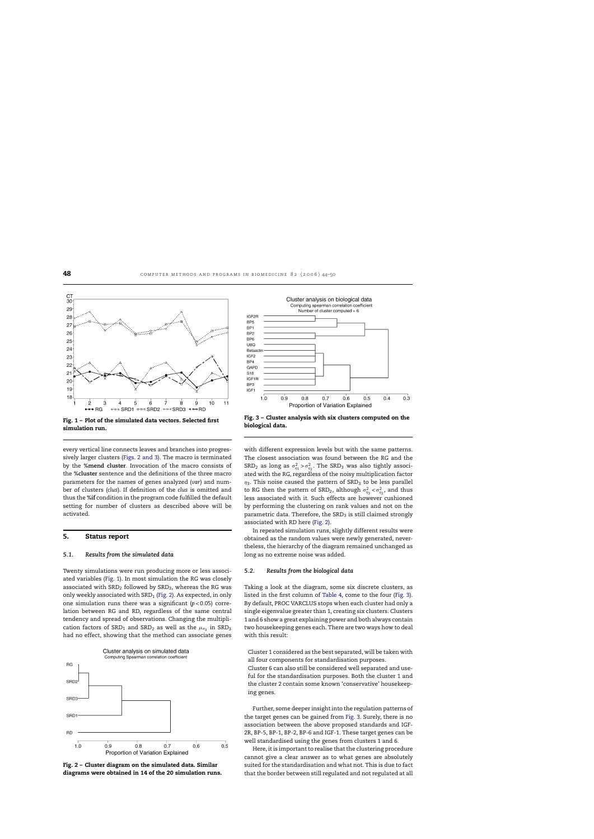<span id="page-4-0"></span>

**Fig. 1 – Plot of the simulated data vectors. Selected first simulation run.**

every vertical line connects leaves and branches into progressively larger clusters (Figs. 2 and 3). The macro is terminated by the **%mend cluster**. Invocation of the macro consists of the **%cluster** sentence and the definitions of the three macro parameters for the names of genes analyzed (*var*) and number of clusters (*clus*). If definition of the *clus* is omitted and thus the **%if** condition in the program code fulfilled the default setting for number of clusters as described above will be activated.

# **5. Status report**

### *5.1. Results from the simulated data*

Twenty simulations were run producing more or less associated variables (Fig. 1). In most simulation the RG was closely associated with  $SRD<sub>2</sub>$  followed by  $SRD<sub>3</sub>$ , whereas the RG was only weekly associated with  $SRD_1$  (Fig. 2). As expected, in only one simulation runs there was a significant (*p* < 0.05) correlation between RG and RD, regardless of the same central tendency and spread of observations. Changing the multiplication factors of SRD $_1$  and SRD $_2$  as well as the  $\mu_{\sigma_3}$  in SRD $_3$ had no effect, showing that the method can associate genes



**Fig. 2 – Cluster diagram on the simulated data. Similar diagrams were obtained in 14 of the 20 simulation runs.**



**Fig. 3 – Cluster analysis with six clusters computed on the biological data.**

with different expression levels but with the same patterns. The closest association was found between the RG and the SRD<sub>2</sub> as long as  $\sigma_{\eta_1}^2 > \sigma_{\eta_2}^2$ . The SRD<sub>3</sub> was also tightly associated with the RG, regardless of the noisy multiplication factor  $\eta_3$ . This noise caused the pattern of SRD<sub>3</sub> to be less parallel to RG then the pattern of SRD<sub>2</sub>, although  $\sigma_{\eta_3}^2 < \sigma_{\eta_2}^2$ , and thus less associated with it. Such effects are however cushioned by performing the clustering on rank values and not on the parametric data. Therefore, the  $SRD<sub>3</sub>$  is still claimed strongly associated with RD here (Fig. 2).

In repeated simulation runs, slightly different results were obtained as the random values were newly generated, nevertheless, the hierarchy of the diagram remained unchanged as long as no extreme noise was added.

## *5.2. Results from the biological data*

Taking a look at the diagram, some six discrete clusters, as listed in the first column of [Table 4,](#page-3-0) come to the four (Fig. 3). By default, PROC VARCLUS stops when each cluster had only a single eigenvalue greater than 1, creating six clusters. Clusters 1 and 6 show a great explaining power and both always contain two housekeeping genes each. There are two ways how to deal with this result:

Cluster 1 considered as the best separated, will be taken with all four components for standardisation purposes. Cluster 6 can also still be considered well separated and useful for the standardisation purposes. Both the cluster 1 and the cluster 2 contain some known 'conservative' housekeeping genes.

Further, some deeper insight into the regulation patterns of the target genes can be gained from Fig. 3. Surely, there is no association between the above proposed standards and IGF-2R, BP-5, BP-1, BP-2, BP-6 and IGF-1. These target genes can be well standardised using the genes from clusters 1 and 6.

Here, it is important to realise that the clustering procedure cannot give a clear answer as to what genes are absolutely suited for the standardisation and what not. This is due to fact that the border between still regulated and not regulated at all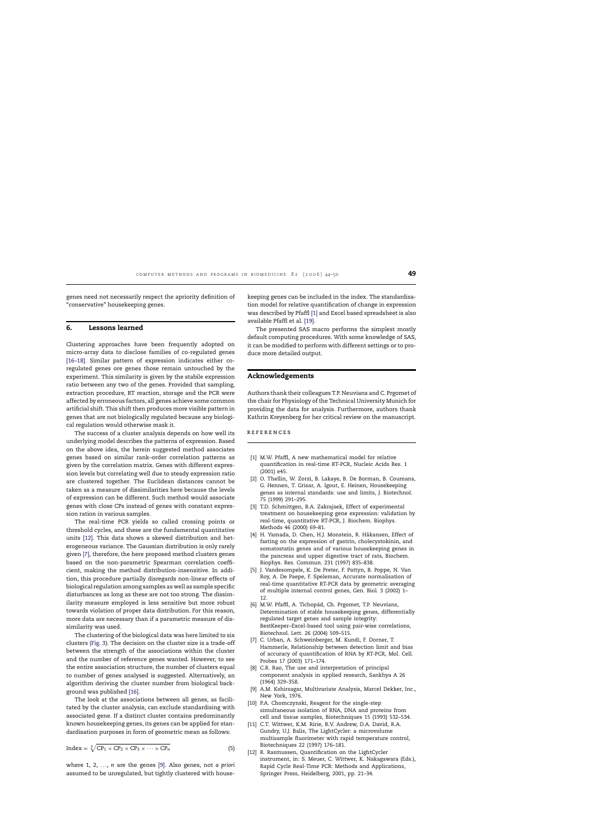<span id="page-5-0"></span>genes need not necessarily respect the apriority definition of "conservative" housekeeping genes.

## **6. Lessons learned**

Clustering approaches have been frequently adopted on micro-array data to disclose families of co-regulated genes [\[16–18\].](#page-6-0) Similar pattern of expression indicates either coregulated genes ore genes those remain untouched by the experiment. This similarity is given by the stabile expression ratio between any two of the genes. Provided that sampling, extraction procedure, RT reaction, storage and the PCR were affected by erroneous factors, all genes achieve some common artificial shift. This shift then produces more visible pattern in genes that are not biologically regulated because any biological regulation would otherwise mask it.

The success of a cluster analysis depends on how well its underlying model describes the patterns of expression. Based on the above idea, the herein suggested method associates genes based on similar rank–order correlation patterns as given by the correlation matrix. Genes with different expression levels but correlating well due to steady expression ratio are clustered together. The Euclidean distances cannot be taken as a measure of dissimilarities here because the levels of expression can be different. Such method would associate genes with close CPs instead of genes with constant expression ration in various samples.

The real-time PCR yields so called crossing points or threshold cycles, and these are the fundamental quantitative units [12]. This data shows a skewed distribution and heterogeneous variance. The Gaussian distribution is only rarely given [7], therefore, the here proposed method clusters genes based on the non-parametric Spearman correlation coefficient, making the method distribution-insensitive. In addition, this procedure partially disregards non-linear effects of biological regulation among samples as well as sample specific disturbances as long as these are not too strong. The dissimilarity measure employed is less sensitive but more robust towards violation of proper data distribution. For this reason, more data are necessary than if a parametric measure of dissimilarity was used.

The clustering of the biological data was here limited to six clusters ([Fig. 3\).](#page-4-0) The decision on the cluster size is a trade-off between the strength of the associations within the cluster and the number of reference genes wanted. However, to see the entire association structure, the number of clusters equal to number of genes analysed is suggested. Alternatively, an algorithm deriving the cluster number from biological background was published [\[16\].](#page-6-0)

The look at the associations between all genes, as facilitated by the cluster analysis, can exclude standardising with associated gene. If a distinct cluster contains predominantly known housekeeping genes, its genes can be applied for standardisation purposes in form of geometric mean as follows:

$$
Index = \sqrt[n]{\text{CP}_1 \times \text{CP}_2 \times \text{CP}_3 \times \dots \times \text{CP}_n}
$$
 (5)

where 1, 2, ..., *n* are the genes [9]. Also genes, not *a priori* assumed to be unregulated, but tightly clustered with housekeeping genes can be included in the index. The standardisation model for relative quantification of change in expression was described by Pfaffl [1] and Excel based spreadsheet is also available Pfaffl et al. [\[19\].](#page-6-0)

The presented SAS macro performs the simplest mostly default computing procedures. With some knowledge of SAS, it can be modified to perform with different settings or to produce more detailed output.

### **Acknowledgements**

Authors thank their colleagues T.P. Neuvians and C. Prgomet of the chair for Physiology of the Technical University Munich for providing the data for analysis. Furthermore, authors thank Kathrin Kreyenberg for her critical review on the manuscript.

#### references

- [1] M.W. Pfaffl, A new mathematical model for relative quantification in real-time RT-PCR, Nucleic Acids Res. 1 (2001) e45.
- [2] O. Thellin, W. Zorzi, B. Lakaye, B. De Borman, B. Coumans, G. Hennen, T. Grisar, A. Igout, E. Heinen, Housekeeping genes as internal standards: use and limits, J. Biotechnol. 75 (1999) 291–295.
- [3] T.D. Schmittgen, B.A. Zakrajsek, Effect of experimental treatment on housekeeping gene expression: validation by real-time, quantitative RT-PCR, J. Biochem. Biophys. Methods 46 (2000) 69–81.
- [4] H. Yamada, D. Chen, H.J. Monstein, R. Håkansen, Effect of fasting on the expression of gastrin, cholecystokinin, and somatostatin genes and of various housekeeping genes in the pancreas and upper digestive tract of rats, Biochem. Biophys. Res. Commun. 231 (1997) 835–838.
- [5] J. Vandesompele, K. De Preter, F. Pattyn, B. Poppe, N. Van Roy, A. De Paepe, F. Speleman, Accurate normalisation of real-time quantitative RT-PCR data by geometric averaging of multiple internal control genes, Gen. Biol. 3 (2002) 1– 12.
- [6] M.W. Pfaffl, A. Tichopád, Ch. Prgomet, T.P. Neuvians, Determination of stable housekeeping genes, differentially regulated target genes and sample integrity: BestKeeper–Excel-based tool using pair-wise correlations, Biotechnol. Lett. 26 (2004) 509–515.
- [7] C. Urban, A. Schweinberger, M. Kundi, F. Dorner, T. Hammerle, Relationship between detection limit and bias of accuracy of quantification of RNA by RT-PCR, Mol. Cell. Probes 17 (2003) 171–174.
- [8] C.R. Rao, The use and interpretation of principal component analysis in applied research, Sankhya A 26 (1964) 329–358.
- [9] A.M. Kshirsagar, Multivariate Analysis, Marcel Dekker, Inc., New York, 1976.
- [10] P.A. Chomczynski, Reagent for the single-step simultaneous isolation of RNA, DNA and proteins from cell and tissue samples, Biotechniques 15 (1993) 532–534.
- [11] C.T. Wittwer, K.M. Ririe, R.V. Andrew, D.A. David, R.A. Gundry, U.J. Balis, The LightCycler: a microvolume multisample fluorimeter with rapid temperature control, Biotechniques 22 (1997) 176–181.
- [12] R. Rasmussen, Quantification on the LightCycler instrument, in: S. Meuer, C. Wittwer, K. Nakagawara (Eds.), Rapid Cycle Real-Time PCR: Methods and Applications, Springer Press, Heidelberg, 2001, pp. 21–34.